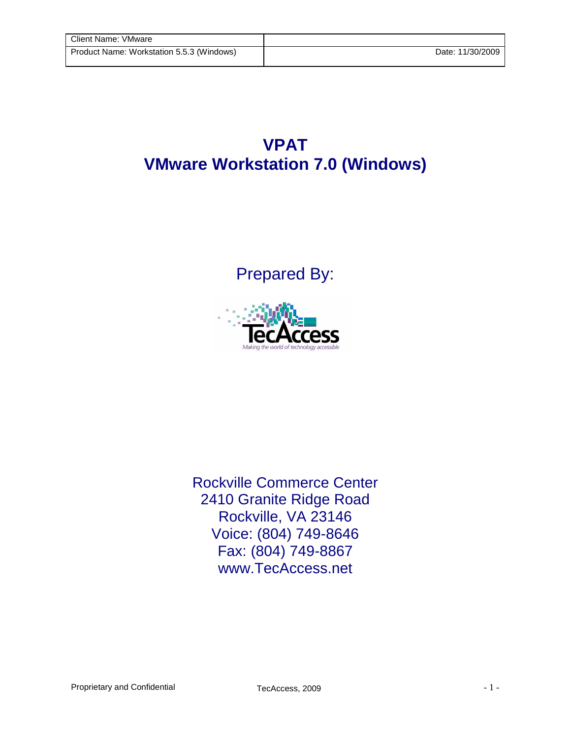## **VPAT VMware Workstation 7.0 (Windows)**

Prepared By:



Rockville Commerce Center 2410 Granite Ridge Road Rockville, VA 23146 Voice: (804) 749-8646 Fax: (804) 749-8867 www.TecAccess.net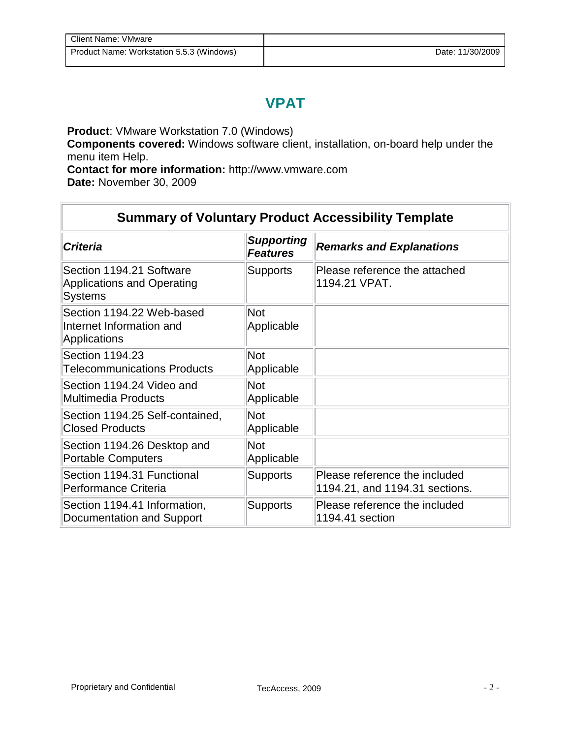## **VPAT**

**Product**: VMware Workstation 7.0 (Windows)

**Components covered:** Windows software client, installation, on-board help under the menu item Help.

**Contact for more information:** http://www.vmware.com **Date:** November 30, 2009

| <b>Summary of Voluntary Product Accessibility Template</b>                      |                                      |                                                                 |
|---------------------------------------------------------------------------------|--------------------------------------|-----------------------------------------------------------------|
| <b>Criteria</b>                                                                 | <b>Supporting</b><br><b>Features</b> | <b>Remarks and Explanations</b>                                 |
| Section 1194.21 Software<br><b>Applications and Operating</b><br><b>Systems</b> | <b>Supports</b>                      | Please reference the attached<br>1194.21 VPAT.                  |
| Section 1194.22 Web-based<br>Internet Information and<br>Applications           | <b>Not</b><br>Applicable             |                                                                 |
| Section 1194.23<br><b>Telecommunications Products</b>                           | <b>Not</b><br>Applicable             |                                                                 |
| Section 1194.24 Video and<br><b>Multimedia Products</b>                         | Not<br>Applicable                    |                                                                 |
| Section 1194.25 Self-contained,<br><b>Closed Products</b>                       | <b>Not</b><br>Applicable             |                                                                 |
| Section 1194.26 Desktop and<br><b>Portable Computers</b>                        | <b>Not</b><br>Applicable             |                                                                 |
| Section 1194.31 Functional<br>Performance Criteria                              | <b>Supports</b>                      | Please reference the included<br>1194.21, and 1194.31 sections. |
| Section 1194.41 Information,<br>Documentation and Support                       | <b>Supports</b>                      | Please reference the included<br>1194.41 section                |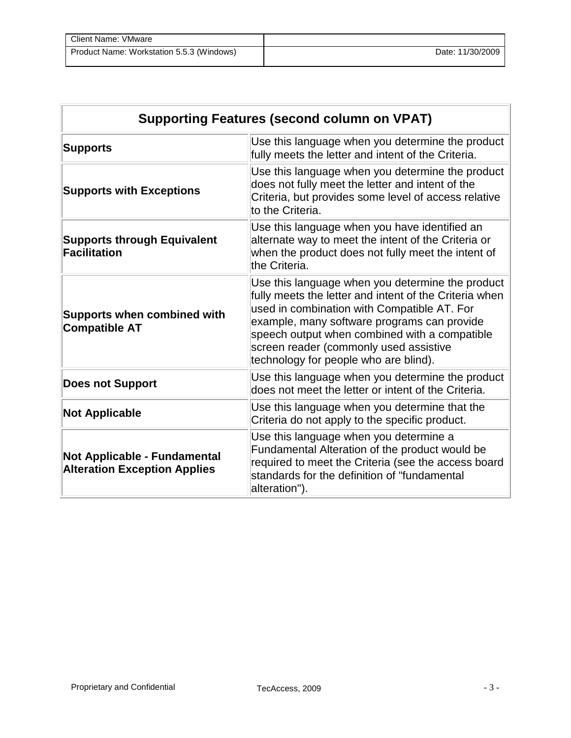| Client Name: VMware                       |                  |
|-------------------------------------------|------------------|
| Product Name: Workstation 5.5.3 (Windows) | Date: 11/30/2009 |

| <b>Supporting Features (second column on VPAT)</b>                  |                                                                                                                                                                                                                                                                                                                                              |  |
|---------------------------------------------------------------------|----------------------------------------------------------------------------------------------------------------------------------------------------------------------------------------------------------------------------------------------------------------------------------------------------------------------------------------------|--|
| <b>Supports</b>                                                     | Use this language when you determine the product<br>fully meets the letter and intent of the Criteria.                                                                                                                                                                                                                                       |  |
| <b>Supports with Exceptions</b>                                     | Use this language when you determine the product<br>does not fully meet the letter and intent of the<br>Criteria, but provides some level of access relative<br>to the Criteria.                                                                                                                                                             |  |
| <b>Supports through Equivalent</b><br><b>Facilitation</b>           | Use this language when you have identified an<br>alternate way to meet the intent of the Criteria or<br>when the product does not fully meet the intent of<br>the Criteria.                                                                                                                                                                  |  |
| <b>Supports when combined with</b><br><b>Compatible AT</b>          | Use this language when you determine the product<br>fully meets the letter and intent of the Criteria when<br>used in combination with Compatible AT. For<br>example, many software programs can provide<br>speech output when combined with a compatible<br>screen reader (commonly used assistive<br>technology for people who are blind). |  |
| <b>Does not Support</b>                                             | Use this language when you determine the product<br>does not meet the letter or intent of the Criteria.                                                                                                                                                                                                                                      |  |
| <b>Not Applicable</b>                                               | Use this language when you determine that the<br>Criteria do not apply to the specific product.                                                                                                                                                                                                                                              |  |
| Not Applicable - Fundamental<br><b>Alteration Exception Applies</b> | Use this language when you determine a<br>Fundamental Alteration of the product would be<br>required to meet the Criteria (see the access board<br>standards for the definition of "fundamental<br>alteration").                                                                                                                             |  |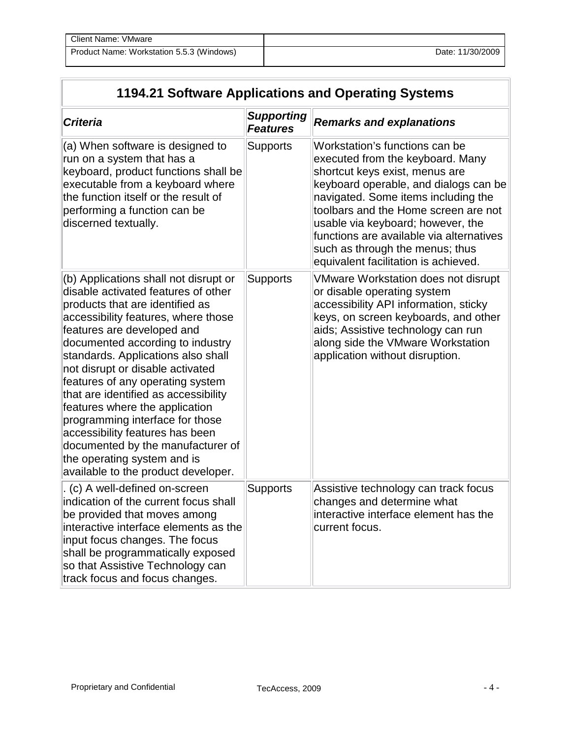## **1194.21 Software Applications and Operating Systems**

| <b>Criteria</b>                                                                                                                                                                                                                                                                                                                                                                                                                                                                                                                                                                                   | <b>Supporting</b><br><b>Features</b> | <b>Remarks and explanations</b>                                                                                                                                                                                                                                                                                                                                                          |
|---------------------------------------------------------------------------------------------------------------------------------------------------------------------------------------------------------------------------------------------------------------------------------------------------------------------------------------------------------------------------------------------------------------------------------------------------------------------------------------------------------------------------------------------------------------------------------------------------|--------------------------------------|------------------------------------------------------------------------------------------------------------------------------------------------------------------------------------------------------------------------------------------------------------------------------------------------------------------------------------------------------------------------------------------|
| (a) When software is designed to<br>run on a system that has a<br>keyboard, product functions shall be<br>executable from a keyboard where<br>the function itself or the result of<br>performing a function can be<br>discerned textually.                                                                                                                                                                                                                                                                                                                                                        | <b>Supports</b>                      | Workstation's functions can be<br>executed from the keyboard. Many<br>shortcut keys exist, menus are<br>keyboard operable, and dialogs can be<br>navigated. Some items including the<br>toolbars and the Home screen are not<br>usable via keyboard; however, the<br>functions are available via alternatives<br>such as through the menus; thus<br>equivalent facilitation is achieved. |
| (b) Applications shall not disrupt or<br>disable activated features of other<br>products that are identified as<br>accessibility features, where those<br>features are developed and<br>documented according to industry<br>standards. Applications also shall<br>not disrupt or disable activated<br>features of any operating system<br>that are identified as accessibility<br>features where the application<br>programming interface for those<br>accessibility features has been<br>documented by the manufacturer of<br>the operating system and is<br>available to the product developer. | <b>Supports</b>                      | <b>VMware Workstation does not disrupt</b><br>or disable operating system<br>accessibility API information, sticky<br>keys, on screen keyboards, and other<br>aids; Assistive technology can run<br>along side the VMware Workstation<br>application without disruption.                                                                                                                 |
| (c) A well-defined on-screen<br>indication of the current focus shall<br>be provided that moves among<br>interactive interface elements as the<br>input focus changes. The focus<br>shall be programmatically exposed<br>so that Assistive Technology can<br>track focus and focus changes.                                                                                                                                                                                                                                                                                                       | <b>Supports</b>                      | Assistive technology can track focus<br>changes and determine what<br>interactive interface element has the<br>current focus.                                                                                                                                                                                                                                                            |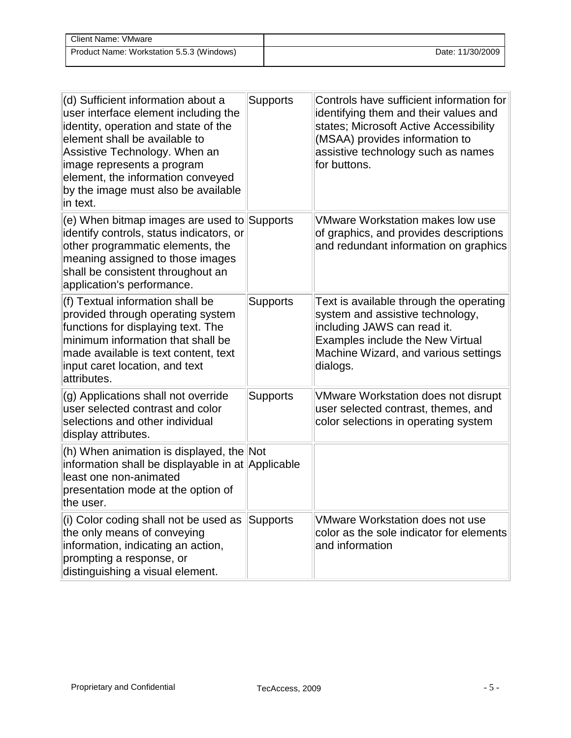| Client Name: VMware                       |                  |
|-------------------------------------------|------------------|
| Product Name: Workstation 5.5.3 (Windows) | Date: 11/30/2009 |

| (d) Sufficient information about a<br>user interface element including the<br>identity, operation and state of the<br>element shall be available to<br>Assistive Technology. When an<br>image represents a program<br>element, the information conveyed<br>by the image must also be available<br>in text. | <b>Supports</b> | Controls have sufficient information for<br>identifying them and their values and<br>states; Microsoft Active Accessibility<br>(MSAA) provides information to<br>assistive technology such as names<br>for buttons. |
|------------------------------------------------------------------------------------------------------------------------------------------------------------------------------------------------------------------------------------------------------------------------------------------------------------|-----------------|---------------------------------------------------------------------------------------------------------------------------------------------------------------------------------------------------------------------|
| (e) When bitmap images are used to Supports<br>identify controls, status indicators, or<br>other programmatic elements, the<br>meaning assigned to those images<br>shall be consistent throughout an<br>application's performance.                                                                         |                 | <b>VMware Workstation makes low use</b><br>of graphics, and provides descriptions<br>and redundant information on graphics                                                                                          |
| (f) Textual information shall be<br>provided through operating system<br>functions for displaying text. The<br>minimum information that shall be<br>made available is text content, text<br>input caret location, and text<br>attributes.                                                                  | <b>Supports</b> | Text is available through the operating<br>system and assistive technology,<br>including JAWS can read it.<br>Examples include the New Virtual<br>Machine Wizard, and various settings<br>dialogs.                  |
| (g) Applications shall not override<br>user selected contrast and color<br>selections and other individual<br>display attributes.                                                                                                                                                                          | <b>Supports</b> | <b>VMware Workstation does not disrupt</b><br>user selected contrast, themes, and<br>color selections in operating system                                                                                           |
| (h) When animation is displayed, the Not<br>information shall be displayable in at Applicable<br>least one non-animated<br>presentation mode at the option of<br>the user.                                                                                                                                 |                 |                                                                                                                                                                                                                     |
| (i) Color coding shall not be used as<br>the only means of conveying<br>information, indicating an action,<br>prompting a response, or<br>distinguishing a visual element.                                                                                                                                 | Supports        | <b>VMware Workstation does not use</b><br>color as the sole indicator for elements<br>and information                                                                                                               |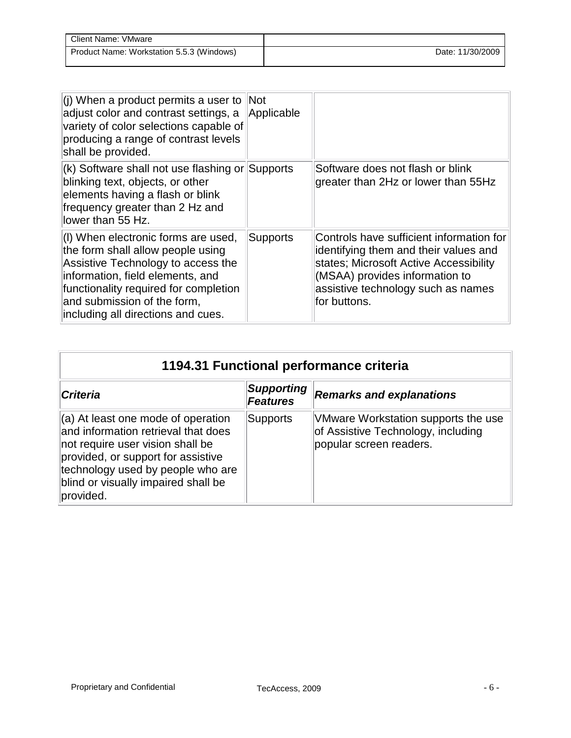| Client Name: VMware                       |                  |
|-------------------------------------------|------------------|
| Product Name: Workstation 5.5.3 (Windows) | Date: 11/30/2009 |

| (i) When a product permits a user to Not<br>adjust color and contrast settings, a<br>variety of color selections capable of<br>producing a range of contrast levels<br>shall be provided.                                                                        | Applicable |                                                                                                                                                                                                                     |
|------------------------------------------------------------------------------------------------------------------------------------------------------------------------------------------------------------------------------------------------------------------|------------|---------------------------------------------------------------------------------------------------------------------------------------------------------------------------------------------------------------------|
| (k) Software shall not use flashing or Supports<br>blinking text, objects, or other<br>elements having a flash or blink<br>frequency greater than 2 Hz and<br>llower than 55 Hz.                                                                                 |            | Software does not flash or blink<br>greater than 2Hz or lower than 55Hz                                                                                                                                             |
| (I) When electronic forms are used,<br>the form shall allow people using<br>Assistive Technology to access the<br>information, field elements, and<br>functionality required for completion<br>and submission of the form,<br>including all directions and cues. | Supports   | Controls have sufficient information for<br>identifying them and their values and<br>states; Microsoft Active Accessibility<br>(MSAA) provides information to<br>assistive technology such as names<br>for buttons. |

| 1194.31 Functional performance criteria                                                                                                                                                                                                      |                                      |                                                                                                      |
|----------------------------------------------------------------------------------------------------------------------------------------------------------------------------------------------------------------------------------------------|--------------------------------------|------------------------------------------------------------------------------------------------------|
| <b>Criteria</b>                                                                                                                                                                                                                              | <b>Supporting</b><br><b>Features</b> | <b>Remarks and explanations</b>                                                                      |
| (a) At least one mode of operation<br>and information retrieval that does<br>not require user vision shall be<br>provided, or support for assistive<br>technology used by people who are<br>blind or visually impaired shall be<br>provided. | Supports                             | VMware Workstation supports the use<br>of Assistive Technology, including<br>popular screen readers. |

 $\overline{a}$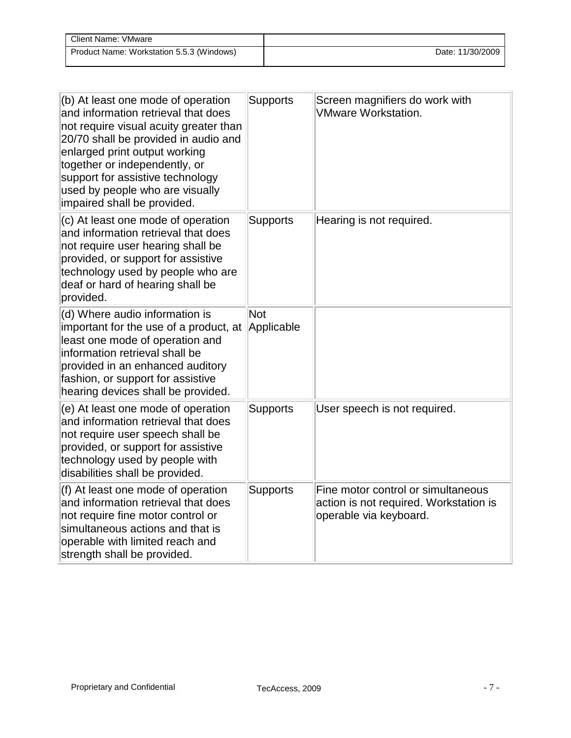| Client Name: VMware                       |                  |
|-------------------------------------------|------------------|
| Product Name: Workstation 5.5.3 (Windows) | Date: 11/30/2009 |

| $(b)$ At least one mode of operation<br>and information retrieval that does<br>not require visual acuity greater than<br>20/70 shall be provided in audio and<br>enlarged print output working<br>together or independently, or<br>support for assistive technology<br>used by people who are visually<br>impaired shall be provided. | <b>Supports</b> | Screen magnifiers do work with<br><b>VMware Workstation.</b>                                           |
|---------------------------------------------------------------------------------------------------------------------------------------------------------------------------------------------------------------------------------------------------------------------------------------------------------------------------------------|-----------------|--------------------------------------------------------------------------------------------------------|
| (c) At least one mode of operation<br>and information retrieval that does<br>not require user hearing shall be<br>provided, or support for assistive<br>technology used by people who are<br>deaf or hard of hearing shall be<br>provided.                                                                                            | <b>Supports</b> | Hearing is not required.                                                                               |
| (d) Where audio information is<br>important for the use of a product, at Applicable<br>least one mode of operation and<br>information retrieval shall be<br>provided in an enhanced auditory<br>fashion, or support for assistive<br>hearing devices shall be provided.                                                               | Not             |                                                                                                        |
| (e) At least one mode of operation<br>and information retrieval that does<br>not require user speech shall be<br>provided, or support for assistive<br>technology used by people with<br>disabilities shall be provided.                                                                                                              | <b>Supports</b> | User speech is not required.                                                                           |
| (f) At least one mode of operation<br>and information retrieval that does<br>not require fine motor control or<br>simultaneous actions and that is<br>operable with limited reach and<br>strength shall be provided.                                                                                                                  | <b>Supports</b> | Fine motor control or simultaneous<br>action is not required. Workstation is<br>operable via keyboard. |